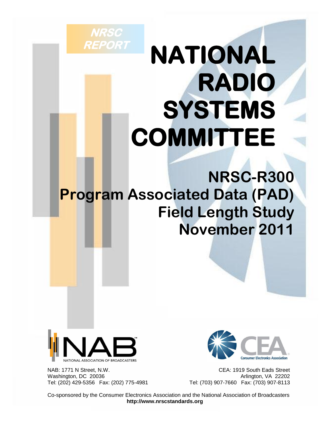# **NATIONAL RADIO SYSTEMS COMMITTEE**

**NRSC-R300 Program Associated Data (PAD) Field Length Study November 2011**



**NRSC** 

**REPORT** 

NAB: 1771 N Street, N.W. CEA: 1919 South Eads Street Washington, DC 20036 Arlington, VA 22202 Tel: (202) 429-5356 Fax: (202) 775-4981 Tel: (703) 907-7660 Fax: (703) 907-8113



Co-sponsored by the Consumer Electronics Association and the National Association of Broadcasters **http://www.nrscstandards.org**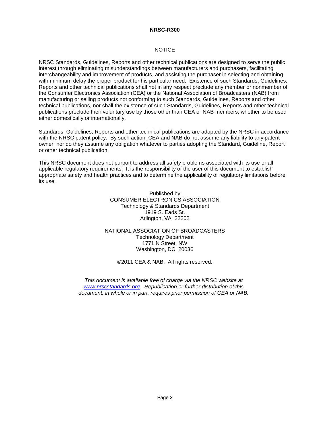#### **NOTICE**

NRSC Standards, Guidelines, Reports and other technical publications are designed to serve the public interest through eliminating misunderstandings between manufacturers and purchasers, facilitating interchangeability and improvement of products, and assisting the purchaser in selecting and obtaining with minimum delay the proper product for his particular need. Existence of such Standards, Guidelines, Reports and other technical publications shall not in any respect preclude any member or nonmember of the Consumer Electronics Association (CEA) or the National Association of Broadcasters (NAB) from manufacturing or selling products not conforming to such Standards, Guidelines, Reports and other technical publications, nor shall the existence of such Standards, Guidelines, Reports and other technical publications preclude their voluntary use by those other than CEA or NAB members, whether to be used either domestically or internationally.

Standards, Guidelines, Reports and other technical publications are adopted by the NRSC in accordance with the NRSC patent policy. By such action, CEA and NAB do not assume any liability to any patent owner, nor do they assume any obligation whatever to parties adopting the Standard, Guideline, Report or other technical publication.

This NRSC document does not purport to address all safety problems associated with its use or all applicable regulatory requirements. It is the responsibility of the user of this document to establish appropriate safety and health practices and to determine the applicability of regulatory limitations before its use.

> Published by CONSUMER ELECTRONICS ASSOCIATION Technology & Standards Department 1919 S. Eads St. Arlington, VA 22202

NATIONAL ASSOCIATION OF BROADCASTERS Technology Department 1771 N Street, NW Washington, DC 20036

©2011 CEA & NAB. All rights reserved.

*This document is available free of charge via the NRSC website at [www.nrscstandards.org.](http://www.nrscstandards.org/) Republication or further distribution of this document, in whole or in part, requires prior permission of CEA or NAB.*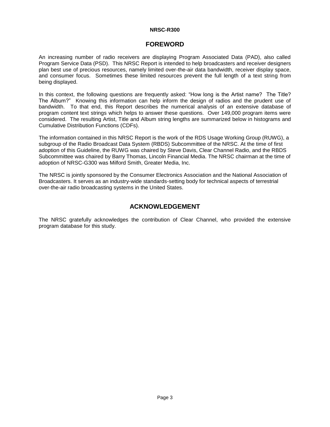# **FOREWORD**

An increasing number of radio receivers are displaying Program Associated Data (PAD), also called Program Service Data (PSD). This NRSC Report is intended to help broadcasters and receiver designers plan best use of precious resources, namely limited over-the-air data bandwidth, receiver display space, and consumer focus. Sometimes these limited resources prevent the full length of a text string from being displayed.

In this context, the following questions are frequently asked: "How long is the Artist name? The Title? The Album?" Knowing this information can help inform the design of radios and the prudent use of bandwidth. To that end, this Report describes the numerical analysis of an extensive database of program content text strings which helps to answer these questions. Over 149,000 program items were considered. The resulting Artist, Title and Album string lengths are summarized below in histograms and Cumulative Distribution Functions (CDFs).

The information contained in this NRSC Report is the work of the RDS Usage Working Group (RUWG), a subgroup of the Radio Broadcast Data System (RBDS) Subcommittee of the NRSC. At the time of first adoption of this Guideline, the RUWG was chaired by Steve Davis, Clear Channel Radio, and the RBDS Subcommittee was chaired by Barry Thomas, Lincoln Financial Media. The NRSC chairman at the time of adoption of NRSC-G300 was Milford Smith, Greater Media, Inc.

The NRSC is jointly sponsored by the Consumer Electronics Association and the National Association of Broadcasters. It serves as an industry-wide standards-setting body for technical aspects of terrestrial over-the-air radio broadcasting systems in the United States.

# **ACKNOWLEDGEMENT**

The NRSC gratefully acknowledges the contribution of Clear Channel, who provided the extensive program database for this study.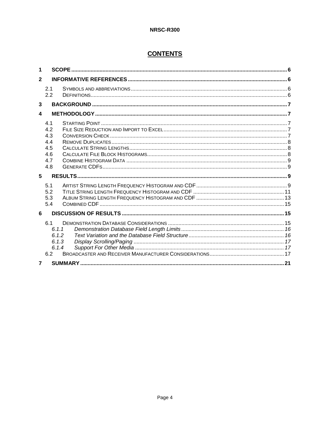# **CONTENTS**

| 1              |                                                      |  |  |
|----------------|------------------------------------------------------|--|--|
| $\mathbf{2}$   |                                                      |  |  |
|                | 2.1<br>2.2                                           |  |  |
| 3              |                                                      |  |  |
| 4              |                                                      |  |  |
|                | 4.1<br>4.2<br>4.3<br>4.4<br>4.5<br>4.6<br>4.7<br>4.8 |  |  |
| 5              |                                                      |  |  |
|                | 5.1<br>5.2<br>5.3<br>5.4                             |  |  |
| 6              |                                                      |  |  |
|                | 6.1<br>6.1.1<br>6.1.2<br>6.1.3<br>6.1.4<br>6.2       |  |  |
| $\overline{7}$ |                                                      |  |  |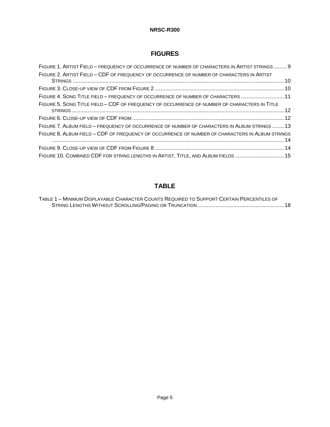# **FIGURES**

| FIGURE 1. ARTIST FIELD - FREQUENCY OF OCCURRENCE OF NUMBER OF CHARACTERS IN ARTIST STRINGS 9    |  |
|-------------------------------------------------------------------------------------------------|--|
| FIGURE 2. ARTIST FIELD - CDF OF FREQUENCY OF OCCURRENCE OF NUMBER OF CHARACTERS IN ARTIST       |  |
|                                                                                                 |  |
| FIGURE 4. SONG TITLE FIELD - FREQUENCY OF OCCURRENCE OF NUMBER OF CHARACTERS  11                |  |
| FIGURE 5. SONG TITLE FIELD - CDF OF FREQUENCY OF OCCURRENCE OF NUMBER OF CHARACTERS IN TITLE    |  |
|                                                                                                 |  |
| FIGURE 7. ALBUM FIELD - FREQUENCY OF OCCURRENCE OF NUMBER OF CHARACTERS IN ALBUM STRINGS13      |  |
| FIGURE 8. ALBUM FIELD - CDF OF FREQUENCY OF OCCURRENCE OF NUMBER OF CHARACTERS IN ALBUM STRINGS |  |
|                                                                                                 |  |
| FIGURE 10. COMBINED CDF FOR STRING LENGTHS IN ARTIST, TITLE, AND ALBUM FIELDS  15               |  |

# **TABLE**

| TABLE 1 - MINIMUM DISPLAYABLE CHARACTER COUNTS REQUIRED TO SUPPORT CERTAIN PERCENTILES OF |  |
|-------------------------------------------------------------------------------------------|--|
|                                                                                           |  |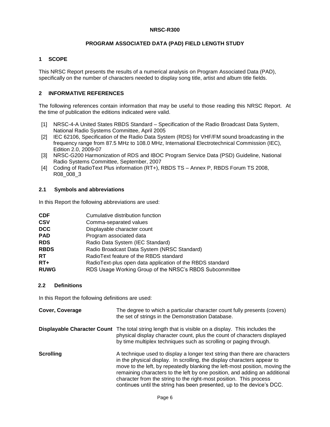# **PROGRAM ASSOCIATED DATA (PAD) FIELD LENGTH STUDY**

# <span id="page-5-0"></span>**1 SCOPE**

This NRSC Report presents the results of a numerical analysis on Program Associated Data (PAD), specifically on the number of characters needed to display song title, artist and album title fields.

# <span id="page-5-1"></span>**2 INFORMATIVE REFERENCES**

The following references contain information that may be useful to those reading this NRSC Report. At the time of publication the editions indicated were valid.

- [1] NRSC-4-A United States RBDS Standard Specification of the Radio Broadcast Data System, National Radio Systems Committee, April 2005
- [2] IEC 62106, Specification of the Radio Data System (RDS) for VHF/FM sound broadcasting in the frequency range from 87.5 MHz to 108.0 MHz, International Electrotechnical Commission (IEC), Edition 2.0, 2009-07
- [3] NRSC-G200 Harmonization of RDS and IBOC Program Service Data (PSD) Guideline, National Radio Systems Committee, September, 2007
- [4] Coding of RadioText Plus information (RT+), RBDS TS Annex P, RBDS Forum TS 2008, R08\_008\_3

## <span id="page-5-2"></span>**2.1 Symbols and abbreviations**

In this Report the following abbreviations are used:

| CDF         | Cumulative distribution function                          |
|-------------|-----------------------------------------------------------|
| <b>CSV</b>  | Comma-separated values                                    |
| DCC         | Displayable character count                               |
| PAD         | Program associated data                                   |
| RDS         | Radio Data System (IEC Standard)                          |
| <b>RBDS</b> | Radio Broadcast Data System (NRSC Standard)               |
| RT          | RadioText feature of the RBDS standard                    |
| RT+         | RadioText-plus open data application of the RBDS standard |
| <b>RUWG</b> | RDS Usage Working Group of the NRSC's RBDS Subcommittee   |
|             |                                                           |

## <span id="page-5-3"></span>**2.2 Definitions**

In this Report the following definitions are used:

| Cover, Coverage  | The degree to which a particular character count fully presents (covers)<br>the set of strings in the Demonstration Database.                                                                                                                                                                                                                                                                                                                                      |
|------------------|--------------------------------------------------------------------------------------------------------------------------------------------------------------------------------------------------------------------------------------------------------------------------------------------------------------------------------------------------------------------------------------------------------------------------------------------------------------------|
|                  | <b>Displayable Character Count</b> The total string length that is visible on a display. This includes the<br>physical display character count, plus the count of characters displayed<br>by time multiplex techniques such as scrolling or paging through.                                                                                                                                                                                                        |
| <b>Scrolling</b> | A technique used to display a longer text string than there are characters<br>in the physical display. In scrolling, the display characters appear to<br>move to the left, by repeatedly blanking the left-most position, moving the<br>remaining characters to the left by one position, and adding an additional<br>character from the string to the right-most position. This process<br>continues until the string has been presented, up to the device's DCC. |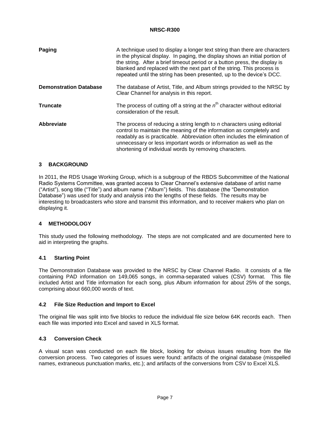| Paging                        | A technique used to display a longer text string than there are characters<br>in the physical display. In paging, the display shows an initial portion of<br>the string. After a brief timeout period or a button press, the display is<br>blanked and replaced with the next part of the string. This process is<br>repeated until the string has been presented, up to the device's DCC. |
|-------------------------------|--------------------------------------------------------------------------------------------------------------------------------------------------------------------------------------------------------------------------------------------------------------------------------------------------------------------------------------------------------------------------------------------|
| <b>Demonstration Database</b> | The database of Artist, Title, and Album strings provided to the NRSC by<br>Clear Channel for analysis in this report.                                                                                                                                                                                                                                                                     |
| <b>Truncate</b>               | The process of cutting off a string at the $nth$ character without editorial<br>consideration of the result.                                                                                                                                                                                                                                                                               |
| Abbreviate                    | The process of reducing a string length to n characters using editorial<br>control to maintain the meaning of the information as completely and<br>readably as is practicable. Abbreviation often includes the elimination of<br>unnecessary or less important words or information as well as the<br>shortening of individual words by removing characters.                               |

## <span id="page-6-0"></span>**3 BACKGROUND**

In 2011, the RDS Usage Working Group, which is a subgroup of the RBDS Subcommittee of the National Radio Systems Committee, was granted access to Clear Channel's extensive database of artist name ("Artist"), song title ("Title") and album name ("Album") fields. This database (the "Demonstration Database") was used for study and analysis into the lengths of these fields. The results may be interesting to broadcasters who store and transmit this information, and to receiver makers who plan on displaying it.

## <span id="page-6-1"></span>**4 METHODOLOGY**

This study used the following methodology. The steps are not complicated and are documented here to aid in interpreting the graphs.

## <span id="page-6-2"></span>**4.1 Starting Point**

The Demonstration Database was provided to the NRSC by Clear Channel Radio. It consists of a file containing PAD information on 149,065 songs, in comma-separated values (CSV) format. This file included Artist and Title information for each song, plus Album information for about 25% of the songs, comprising about 660,000 words of text.

## <span id="page-6-3"></span>**4.2 File Size Reduction and Import to Excel**

The original file was split into five blocks to reduce the individual file size below 64K records each. Then each file was imported into Excel and saved in XLS format.

## <span id="page-6-4"></span>**4.3 Conversion Check**

A visual scan was conducted on each file block, looking for obvious issues resulting from the file conversion process. Two categories of issues were found: artifacts of the original database (misspelled names, extraneous punctuation marks, etc.); and artifacts of the conversions from CSV to Excel XLS.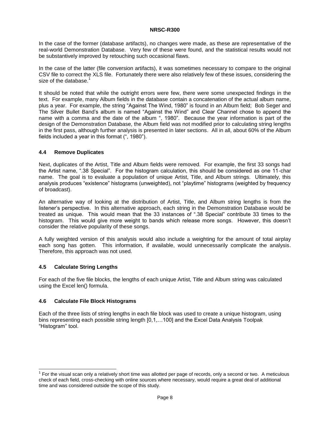In the case of the former (database artifacts), no changes were made, as these are representative of the real-world Demonstration Database. Very few of these were found, and the statistical results would not be substantively improved by retouching such occasional flaws.

In the case of the latter (file conversion artifacts), it was sometimes necessary to compare to the original CSV file to correct the XLS file. Fortunately there were also relatively few of these issues, considering the size of the database. $1$ 

It should be noted that while the outright errors were few, there were some unexpected findings in the text. For example, many Album fields in the database contain a concatenation of the actual album name, plus a year. For example, the string "Against The Wind, 1980" is found in an Album field; Bob Seger and The Silver Bullet Band's album is named "Against the Wind" and Clear Channel chose to append the name with a comma and the date of the album ", 1980". Because the year information is part of the design of the Demonstration Database, the Album field was not modified prior to calculating string lengths in the first pass, although further analysis is presented in later sections. All in all, about 60% of the Album fields included a year in this format (", 1980").

#### <span id="page-7-0"></span>**4.4 Remove Duplicates**

Next, duplicates of the Artist, Title and Album fields were removed. For example, the first 33 songs had the Artist name, ".38 Special". For the histogram calculation, this should be considered as one 11-char name. The goal is to evaluate a population of unique Artist, Title, and Album strings. Ultimately, this analysis produces "existence" histograms (unweighted), not "playtime" histograms (weighted by frequency of broadcast).

An alternative way of looking at the distribution of Artist, Title, and Album string lengths is from the listener's perspective. In this alternative approach, each string in the Demonstration Database would be treated as unique. This would mean that the 33 instances of ".38 Special" contribute 33 times to the histogram. This would give more weight to bands which release more songs. However, this doesn't consider the relative popularity of these songs.

A fully weighted version of this analysis would also include a weighting for the amount of total airplay each song has gotten. This information, if available, would unnecessarily complicate the analysis. Therefore, this approach was not used.

#### <span id="page-7-1"></span>**4.5 Calculate String Lengths**

l

For each of the five file blocks, the lengths of each unique Artist, Title and Album string was calculated using the Excel len() formula.

#### <span id="page-7-2"></span>**4.6 Calculate File Block Histograms**

Each of the three lists of string lengths in each file block was used to create a unique histogram, using bins representing each possible string length [0,1,…100] and the Excel Data Analysis Toolpak "Histogram" tool.

 $1$  For the visual scan only a relatively short time was allotted per page of records, only a second or two. A meticulous check of each field, cross-checking with online sources where necessary, would require a great deal of additional time and was considered outside the scope of this study.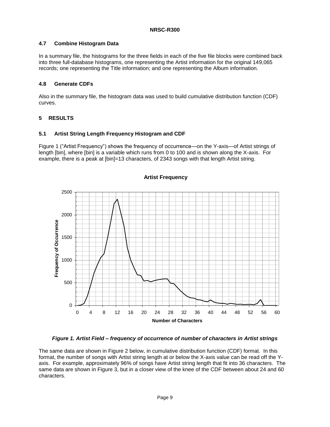# <span id="page-8-0"></span>**4.7 Combine Histogram Data**

In a summary file, the histograms for the three fields in each of the five file blocks were combined back into three full-database histograms, one representing the Artist information for the original 149,065 records; one representing the Title information; and one representing the Album information.

# <span id="page-8-1"></span>**4.8 Generate CDFs**

Also in the summary file, the histogram data was used to build cumulative distribution function (CDF) curves.

# <span id="page-8-2"></span>**5 RESULTS**

# <span id="page-8-3"></span>**5.1 Artist String Length Frequency Histogram and CDF**

[Figure 1](#page-8-4) ("Artist Frequency") shows the frequency of occurrence—on the Y-axis—of Artist strings of length [bin], where [bin] is a variable which runs from 0 to 100 and is shown along the X-axis. For example, there is a peak at [bin]=13 characters, of 2343 songs with that length Artist string.



# **Artist Frequency**

*Figure 1. Artist Field – frequency of occurrence of number of characters in Artist strings*

<span id="page-8-4"></span>The same data are shown in [Figure 2](#page-9-0) below, in cumulative distribution function (CDF) format. In this format, the number of songs with Artist string length at or below the X-axis value can be read off the Yaxis. For example, approximately 96% of songs have Artist string length that fit into 36 characters. The same data are shown in [Figure 3,](#page-9-1) but in a closer view of the knee of the CDF between about 24 and 60 characters.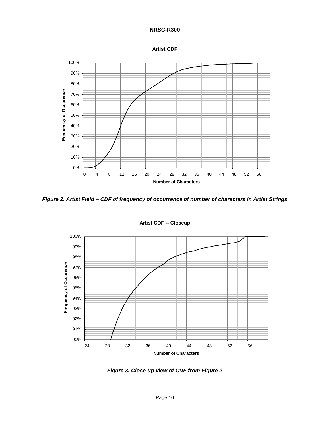



<span id="page-9-0"></span>*Figure 2. Artist Field – CDF of frequency of occurrence of number of characters in Artist Strings*



**Artist CDF -- Closeup**

<span id="page-9-1"></span>*Figure 3. Close-up view of CDF from [Figure 2](#page-9-0)*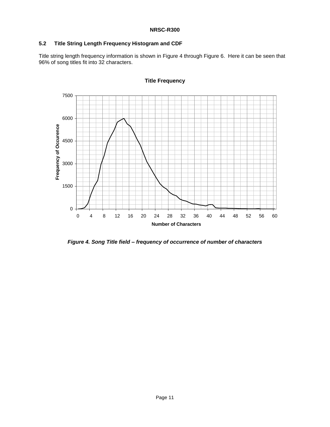## <span id="page-10-0"></span>**5.2 Title String Length Frequency Histogram and CDF**

Title string length frequency information is shown in [Figure 4](#page-10-1) through [Figure 6.](#page-11-1) Here it can be seen that 96% of song titles fit into 32 characters.



# **Title Frequency**

<span id="page-10-1"></span>*Figure 4. Song Title field – frequency of occurrence of number of characters*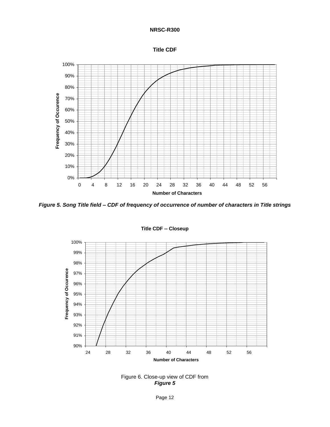<span id="page-11-2"></span>



<span id="page-11-0"></span>*Figure 5. Song Title field – CDF of frequency of occurrence of number of characters in Title strings*



**Title CDF -- Closeup**

<span id="page-11-1"></span>Figure 6. Close-up view of CDF from *[Figure 5](#page-11-2)*

Page 12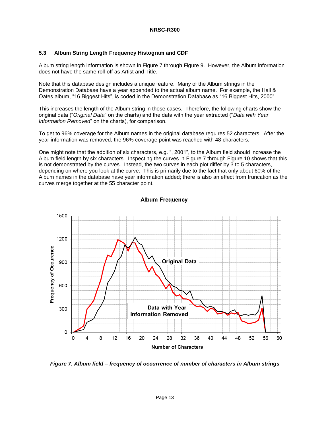## <span id="page-12-0"></span>**5.3 Album String Length Frequency Histogram and CDF**

Album string length information is shown in [Figure 7](#page-12-1) through [Figure 9.](#page-13-1) However, the Album information does not have the same roll-off as Artist and Title.

Note that this database design includes a unique feature. Many of the Album strings in the Demonstration Database have a year appended to the actual album name. For example, the Hall & Oates album, "16 Biggest Hits", is coded in the Demonstration Database as "16 Biggest Hits, 2000".

This increases the length of the Album string in those cases. Therefore, the following charts show the original data ("*Original Data*" on the charts) and the data with the year extracted ("*Data with Year Information Removed*" on the charts), for comparison.

To get to 96% coverage for the Album names in the original database requires 52 characters. After the year information was removed, the 96% coverage point was reached with 48 characters.

One might note that the addition of six characters, e.g. ", 2001", to the Album field should increase the Album field length by six characters. Inspecting the curves in [Figure 7](#page-12-1) through [Figure 10](#page-14-3) shows that this is not demonstrated by the curves. Instead, the two curves in each plot differ by 3 to 5 characters, depending on where you look at the curve. This is primarily due to the fact that only about 60% of the Album names in the database have year information added; there is also an effect from truncation as the curves merge together at the 55 character point.



#### **Album Frequency**

<span id="page-12-1"></span>*Figure 7. Album field – frequency of occurrence of number of characters in Album strings*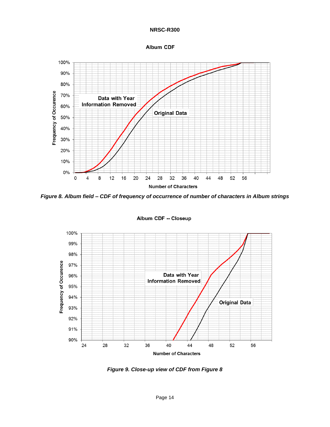



<span id="page-13-0"></span>*Figure 8. Album field – CDF of frequency of occurrence of number of characters in Album strings*



Album CDF -- Closeup

<span id="page-13-1"></span>*Figure 9. Close-up view of CDF from [Figure 8](#page-13-0)*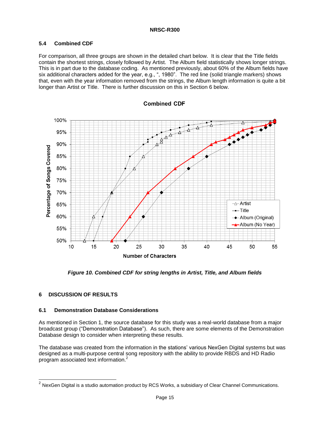# <span id="page-14-0"></span>**5.4 Combined CDF**

For comparison, all three groups are shown in the detailed chart below. It is clear that the Title fields contain the shortest strings, closely followed by Artist. The Album field statistically shows longer strings. This is in part due to the database coding. As mentioned previously, about 60% of the Album fields have six additional characters added for the year, e.g., ", 1980". The red line (solid triangle markers) shows that, even with the year information removed from the strings, the Album length information is quite a bit longer than Artist or Title. There is further discussion on this in Section 6 below.



#### **Combined CDF**

*Figure 10. Combined CDF for string lengths in Artist, Title, and Album fields*

## <span id="page-14-3"></span><span id="page-14-1"></span>**6 DISCUSSION OF RESULTS**

l

#### <span id="page-14-2"></span>**6.1 Demonstration Database Considerations**

As mentioned in Section 1, the source database for this study was a real-world database from a major broadcast group ("Demonstration Database"). As such, there are some elements of the Demonstration Database design to consider when interpreting these results.

The database was created from the information in the stations' various NexGen Digital systems but was designed as a multi-purpose central song repository with the ability to provide RBDS and HD Radio program associated text information.<sup>2</sup>

 $^2$  NexGen Digital is a studio automation product by RCS Works, a subsidiary of Clear Channel Communications.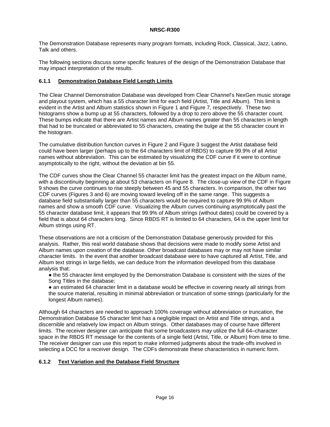The Demonstration Database represents many program formats, including Rock, Classical, Jazz, Latino, Talk and others.

The following sections discuss some specific features of the design of the Demonstration Database that may impact interpretation of the results.

#### <span id="page-15-0"></span>**6.1.1 Demonstration Database Field Length Limits**

The Clear Channel Demonstration Database was developed from Clear Channel's NexGen music storage and playout system, which has a 55 character limit for each field (Artist, Title and Album). This limit is evident in the Artist and Album statistics shown in [Figure 1](#page-8-4) and [Figure 7,](#page-12-1) respectively. These two histograms show a bump up at 55 characters, followed by a drop to zero above the 55 character count. These bumps indicate that there are Artist names and Album names greater than 55 characters in length that had to be truncated or abbreviated to 55 characters, creating the bulge at the 55 character count in the histogram.

The cumulative distribution function curves in [Figure 2](#page-9-0) and [Figure 3](#page-9-1) suggest the Artist database field could have been larger (perhaps up to the 64 characters limit of RBDS) to capture 99.9% of all Artist names without abbreviation. This can be estimated by visualizing the CDF curve if it were to continue asymptotically to the right, without the deviation at bin 55.

The CDF curves show the Clear Channel 55 character limit has the greatest impact on the Album name, with a discontinuity beginning at about 53 characters on [Figure 8.](#page-13-0) The close-up view of the CDF in [Figure](#page-13-1)  [9](#page-13-1) shows the curve continues to rise steeply between 45 and 55 characters. In comparison, the other two CDF curves (Figures 3 and 6) are moving toward leveling off in the same range. This suggests a database field substantially larger than 55 characters would be required to capture 99.9% of Album names and show a smooth CDF curve. Visualizing the Album curves continuing asymptotically past the 55 character database limit, it appears that 99.9% of Album strings (without dates) could be covered by a field that is about 64 characters long. Since RBDS RT is limited to 64 characters, 64 is the upper limit for Album strings using RT.

These observations are not a criticism of the Demonstration Database generously provided for this analysis. Rather, this real world database shows that decisions were made to modify some Artist and Album names upon creation of the database. Other broadcast databases may or may not have similar character limits. In the event that another broadcast database were to have captured all Artist, Title, and Album text strings in large fields, we can deduce from the information developed from this database analysis that:

● the 55 character limit employed by the Demonstration Database is consistent with the sizes of the Song Titles in the database;

• an estimated 64 character limit in a database would be effective in covering nearly all strings from the source material, resulting in minimal abbreviation or truncation of some strings (particularly for the longest Album names).

Although 64 characters are needed to approach 100% coverage without abbreviation or truncation, the Demonstration Database 55 character limit has a negligible impact on Artist and Title strings, and a discernible and relatively low impact on Album strings. Other databases may of course have different limits. The receiver designer can anticipate that some broadcasters may utilize the full 64–character space in the RBDS RT message for the contents of a single field (Artist, Title, or Album) from time to time. The receiver designer can use this report to make informed judgments about the trade-offs involved in selecting a DCC for a receiver design. The CDFs demonstrate these characteristics in numeric form.

## <span id="page-15-1"></span>**6.1.2 Text Variation and the Database Field Structure**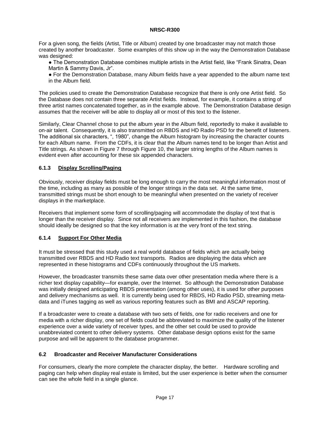For a given song, the fields (Artist, Title or Album) created by one broadcaster may not match those created by another broadcaster. Some examples of this show up in the way the Demonstration Database was designed:

● The Demonstration Database combines multiple artists in the Artist field, like "Frank Sinatra, Dean Martin & Sammy Davis, Jr".

● For the Demonstration Database, many Album fields have a year appended to the album name text in the Album field.

The policies used to create the Demonstration Database recognize that there is only one Artist field. So the Database does not contain three separate Artist fields. Instead, for example, it contains a string of three artist names concatenated together, as in the example above. The Demonstration Database design assumes that the receiver will be able to display all or most of this text to the listener.

Similarly, Clear Channel chose to put the album year in the Album field, reportedly to make it available to on-air talent. Consequently, it is also transmitted on RBDS and HD Radio PSD for the benefit of listeners. The additional six characters, ", 1980", change the Album histogram by increasing the character counts for each Album name. From the CDFs, it is clear that the Album names tend to be longer than Artist and Title strings. As shown in [Figure 7](#page-12-1) through [Figure 10,](#page-14-3) the larger string lengths of the Album names is evident even after accounting for these six appended characters.

# <span id="page-16-0"></span>**6.1.3 Display Scrolling/Paging**

Obviously, receiver display fields must be long enough to carry the most meaningful information most of the time, including as many as possible of the longer strings in the data set. At the same time, transmitted strings must be short enough to be meaningful when presented on the variety of receiver displays in the marketplace.

Receivers that implement some form of scrolling/paging will accommodate the display of text that is longer than the receiver display. Since not all receivers are implemented in this fashion, the database should ideally be designed so that the key information is at the very front of the text string.

## <span id="page-16-1"></span>**6.1.4 Support For Other Media**

It must be stressed that this study used a real world database of fields which are actually being transmitted over RBDS and HD Radio text transports. Radios are displaying the data which are represented in these histograms and CDFs continuously throughout the US markets.

However, the broadcaster transmits these same data over other presentation media where there is a richer text display capability—for example, over the Internet. So although the Demonstration Database was initially designed anticipating RBDS presentation (among other uses), it is used for other purposes and delivery mechanisms as well. It is currently being used for RBDS, HD Radio PSD, streaming metadata and iTunes tagging as well as various reporting features such as BMI and ASCAP reporting.

If a broadcaster were to create a database with two sets of fields, one for radio receivers and one for media with a richer display, one set of fields could be abbreviated to maximize the quality of the listener experience over a wide variety of receiver types, and the other set could be used to provide unabbreviated content to other delivery systems. Other database design options exist for the same purpose and will be apparent to the database programmer.

## <span id="page-16-2"></span>**6.2 Broadcaster and Receiver Manufacturer Considerations**

For consumers, clearly the more complete the character display, the better. Hardware scrolling and paging can help when display real estate is limited, but the user experience is better when the consumer can see the whole field in a single glance.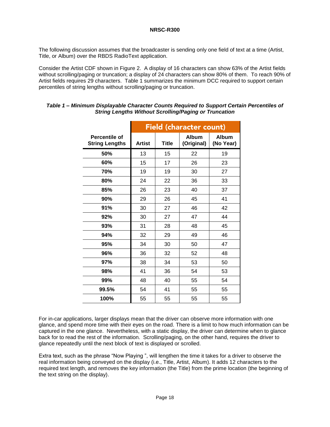The following discussion assumes that the broadcaster is sending only one field of text at a time (Artist, Title, or Album) over the RBDS RadioText application.

Consider the Artist CDF shown in [Figure 2.](#page-9-0) A display of 16 characters can show 63% of the Artist fields without scrolling/paging or truncation; a display of 24 characters can show 80% of them. To reach 90% of Artist fields requires 29 characters. [Table 1](#page-17-0) summarizes the minimum DCC required to support certain percentiles of string lengths without scrolling/paging or truncation.

|                                        | Field (character count) |              |                            |                           |
|----------------------------------------|-------------------------|--------------|----------------------------|---------------------------|
| Percentile of<br><b>String Lengths</b> | <b>Artist</b>           | <b>Title</b> | <b>Album</b><br>(Original) | <b>Album</b><br>(No Year) |
| 50%                                    | 13                      | 15           | 22                         | 19                        |
| 60%                                    | 15                      | 17           | 26                         | 23                        |
| 70%                                    | 19                      | 19           | 30                         | 27                        |
| 80%                                    | 24                      | 22           | 36                         | 33                        |
| 85%                                    | 26                      | 23           | 40                         | 37                        |
| 90%                                    | 29                      | 26           | 45                         | 41                        |
| 91%                                    | 30                      | 27           | 46                         | 42                        |
| 92%                                    | 30                      | 27           | 47                         | 44                        |
| 93%                                    | 31                      | 28           | 48                         | 45                        |
| 94%                                    | 32                      | 29           | 49                         | 46                        |
| 95%                                    | 34                      | 30           | 50                         | 47                        |
| 96%                                    | 36                      | 32           | 52                         | 48                        |
| 97%                                    | 38                      | 34           | 53                         | 50                        |
| 98%                                    | 41                      | 36           | 54                         | 53                        |
| 99%                                    | 48                      | 40           | 55                         | 54                        |
| 99.5%                                  | 54                      | 41           | 55                         | 55                        |
| 100%                                   | 55                      | 55           | 55                         | 55                        |

#### <span id="page-17-0"></span>*Table 1 – Minimum Displayable Character Counts Required to Support Certain Percentiles of String Lengths Without Scrolling/Paging or Truncation*

For in-car applications, larger displays mean that the driver can observe more information with one glance, and spend more time with their eyes on the road. There is a limit to how much information can be captured in the one glance. Nevertheless, with a static display, the driver can determine when to glance back for to read the rest of the information. Scrolling/paging, on the other hand, requires the driver to glance repeatedly until the next block of text is displayed or scrolled.

Extra text, such as the phrase "Now Playing ", will lengthen the time it takes for a driver to observe the real information being conveyed on the display (i.e., Title, Artist, Album). It adds 12 characters to the required text length, and removes the key information (the Title) from the prime location (the beginning of the text string on the display).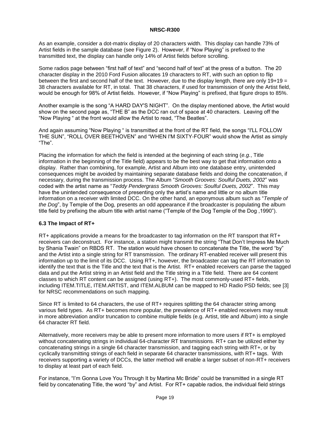As an example, consider a dot-matrix display of 20 characters width. This display can handle 73% of Artist fields in the sample database (see [Figure 2\)](#page-9-0). However, if "Now Playing" is prefixed to the transmitted text, the display can handle only 14% of Artist fields before scrolling.

Some radios page between "first half of text" and "second half of text" at the press of a button. The 20 character display in the 2010 Ford Fusion allocates 19 characters to RT, with such an option to flip between the first and second half of the text. However, due to the display length, there are only 19+19  $=$ 38 characters available for RT, in total. That 38 characters, if used for transmission of only the Artist field, would be enough for 98% of Artist fields. However, if "Now Playing" is prefixed, that figure drops to 85%.

Another example is the song "A HARD DAY'S NIGHT". On the display mentioned above, the Artist would show on the second page as, "THE B" as the DCC ran out of space at 40 characters. Leaving off the "Now Playing " at the front would allow the Artist to read, "The Beatles".

And again assuming "Now Playing " is transmitted at the front of the RT field, the songs "I'LL FOLLOW THE SUN", "ROLL OVER BEETHOVEN" and "WHEN I'M SIXTY-FOUR" would show the Artist as simply "The".

Placing the information for which the field is intended at the beginning of each string (*e.g.*, Title information in the beginning of the Title field) appears to be the best way to get that information onto a display. Rather than combining, for example, Artist and Album into one database entry, unintended consequences might be avoided by maintaining separate database fields and doing the concatenation, if necessary, during the transmission process. The Album "*Smooth Grooves: Soulful Duets, 2002*" was coded with the artist name as "*Teddy Pendergrass Smooth Grooves: Soulful Duets, 2002*". This may have the unintended consequence of presenting only the artist's name and little or no album title information on a receiver with limited DCC. On the other hand, an eponymous album such as "*Temple of the Dog*", by Temple of the Dog, presents an odd appearance if the broadcaster is populating the album title field by prefixing the album title with artist name ("Temple of the Dog Temple of the Dog ,1990").

## **6.3 The Impact of RT+**

RT+ applications provide a means for the broadcaster to tag information on the RT transport that RT+ receivers can deconstruct. For instance, a station might transmit the string "That Don't Impress Me Much by Shania Twain" on RBDS RT. The station would have chosen to concatenate the Title, the word "by" and the Artist into a single string for RT transmission. The ordinary RT-enabled receiver will present this information up to the limit of its DCC. Using RT+, however, the broadcaster can tag the RT information to identify the text that is the Title and the text that is the Artist. RT+ enabled receivers can parse the tagged data and put the Artist string in an Artist field and the Title string in a Title field. There are 64 content classes to which RT content can be assigned (using RT+). The most commonly-used RT+ fields, including ITEM.TITLE, ITEM.ARTIST, and ITEM.ALBUM can be mapped to HD Radio PSD fields; see [3] for NRSC recommendations on such mapping.

Since RT is limited to 64 characters, the use of RT+ requires splitting the 64 character string among various field types. As RT+ becomes more popular, the prevalence of RT+ enabled receivers may result in more abbreviation and/or truncation to combine multiple fields (e.g. Artist, title and Album) into a single 64 character RT field.

Alternatively, more receivers may be able to present more information to more users if RT+ is employed without concatenating strings in individual 64-character RT transmissions. RT+ can be utilized either by concatenating strings in a single 64 character transmission, and tagging each string with RT+, or by cyclically transmitting strings of each field in separate 64 character transmissions, with RT+ tags. With receivers supporting a variety of DCCs, the latter method will enable a larger subset of non-RT+ receivers to display at least part of each field.

For instance, "I'm Gonna Love You Through It by Martina Mc Bride" could be transmitted in a single RT field by concatenating Title, the word "by" and Artist. For RT+ capable radios, the individual field strings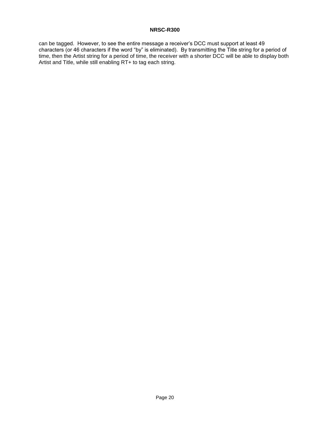can be tagged. However, to see the entire message a receiver's DCC must support at least 49 characters (or 46 characters if the word "by" is eliminated). By transmitting the Title string for a period of time, then the Artist string for a period of time, the receiver with a shorter DCC will be able to display both Artist and Title, while still enabling RT+ to tag each string.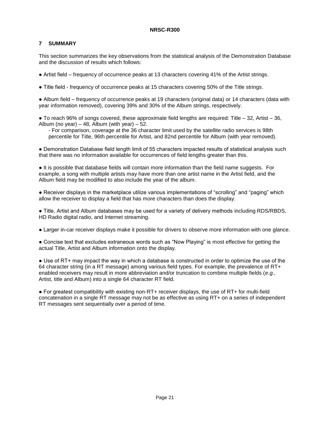## <span id="page-20-0"></span>**7 SUMMARY**

This section summarizes the key observations from the statistical analysis of the Demonstration Database and the discussion of results which follows:

● Artist field – frequency of occurrence peaks at 13 characters covering 41% of the Artist strings.

● Title field - frequency of occurrence peaks at 15 characters covering 50% of the Title strings.

● Album field – frequency of occurrence peaks at 19 characters (original data) or 14 characters (data with year information removed), covering 39% and 30% of the Album strings, respectively.

● To reach 96% of songs covered, these approximate field lengths are required: Title – 32, Artist – 36, Album (no year) – 48, Album (with year) – 52.

- For comparison, coverage at the 36 character limit used by the satellite radio services is 98th percentile for Title, 96th percentile for Artist, and 82nd percentile for Album (with year removed).

● Demonstration Database field length limit of 55 characters impacted results of statistical analysis such that there was no information available for occurrences of field lengths greater than this.

● It is possible that database fields will contain more information than the field name suggests. For example, a song with multiple artists may have more than one artist name in the Artist field, and the Album field may be modified to also include the year of the album.

● Receiver displays in the marketplace utilize various implementations of "scrolling" and "paging" which allow the receiver to display a field that has more characters than does the display.

● Title, Artist and Album databases may be used for a variety of delivery methods including RDS/RBDS, HD Radio digital radio, and Internet streaming.

● Larger in-car receiver displays make it possible for drivers to observe more information with one glance.

• Concise text that excludes extraneous words such as "Now Playing" is most effective for getting the actual Title, Artist and Album information onto the display.

• Use of RT+ may impact the way in which a database is constructed in order to optimize the use of the 64 character string (in a RT message) among various field types. For example, the prevalence of RT+ enabled receivers may result in more abbreviation and/or truncation to combine multiple fields (*e.g.,* Artist, title and Album) into a single 64 character RT field.

● For greatest compatibility with existing non-RT+ receiver displays, the use of RT+ for multi-field concatenation in a single RT message may not be as effective as using RT+ on a series of independent RT messages sent sequentially over a period of time.